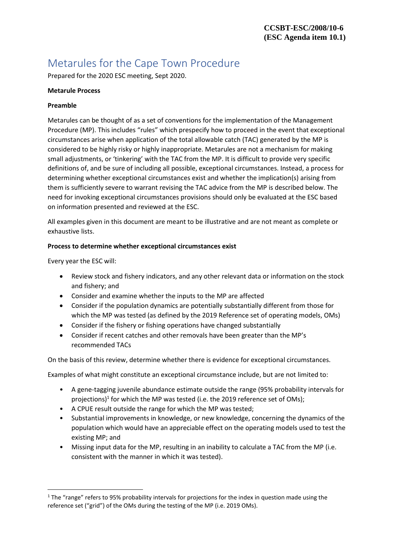# Metarules for the Cape Town Procedure

Prepared for the 2020 ESC meeting, Sept 2020.

# **Metarule Process**

## **Preamble**

Metarules can be thought of as a set of conventions for the implementation of the Management Procedure (MP). This includes "rules" which prespecify how to proceed in the event that exceptional circumstances arise when application of the total allowable catch (TAC) generated by the MP is considered to be highly risky or highly inappropriate. Metarules are not a mechanism for making small adjustments, or 'tinkering' with the TAC from the MP. It is difficult to provide very specific definitions of, and be sure of including all possible, exceptional circumstances. Instead, a process for determining whether exceptional circumstances exist and whether the implication(s) arising from them is sufficiently severe to warrant revising the TAC advice from the MP is described below. The need for invoking exceptional circumstances provisions should only be evaluated at the ESC based on information presented and reviewed at the ESC.

All examples given in this document are meant to be illustrative and are not meant as complete or exhaustive lists.

# **Process to determine whether exceptional circumstances exist**

Every year the ESC will:

- Review stock and fishery indicators, and any other relevant data or information on the stock and fishery; and
- Consider and examine whether the inputs to the MP are affected
- Consider if the population dynamics are potentially substantially different from those for which the MP was tested (as defined by the 2019 Reference set of operating models, OMs)
- Consider if the fishery or fishing operations have changed substantially
- Consider if recent catches and other removals have been greater than the MP's recommended TACs

On the basis of this review, determine whether there is evidence for exceptional circumstances.

Examples of what might constitute an exceptional circumstance include, but are not limited to:

- A gene-tagging juvenile abundance estimate outside the range (95% probability intervals for projections)<sup>1</sup> for which the MP was tested (i.e. the 2019 reference set of OMs);
- A CPUE result outside the range for which the MP was tested;
- Substantial improvements in knowledge, or new knowledge, concerning the dynamics of the population which would have an appreciable effect on the operating models used to test the existing MP; and
- Missing input data for the MP, resulting in an inability to calculate a TAC from the MP (i.e. consistent with the manner in which it was tested).

 $1$  The "range" refers to 95% probability intervals for projections for the index in question made using the reference set ("grid") of the OMs during the testing of the MP (i.e. 2019 OMs).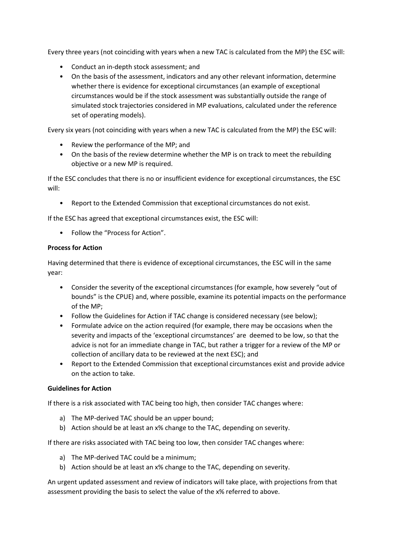Every three years (not coinciding with years when a new TAC is calculated from the MP) the ESC will:

- Conduct an in-depth stock assessment; and
- On the basis of the assessment, indicators and any other relevant information, determine whether there is evidence for exceptional circumstances (an example of exceptional circumstances would be if the stock assessment was substantially outside the range of simulated stock trajectories considered in MP evaluations, calculated under the reference set of operating models).

Every six years (not coinciding with years when a new TAC is calculated from the MP) the ESC will:

- Review the performance of the MP; and
- On the basis of the review determine whether the MP is on track to meet the rebuilding objective or a new MP is required.

If the ESC concludes that there is no or insufficient evidence for exceptional circumstances, the ESC will:

• Report to the Extended Commission that exceptional circumstances do not exist.

If the ESC has agreed that exceptional circumstances exist, the ESC will:

• Follow the "Process for Action".

#### **Process for Action**

Having determined that there is evidence of exceptional circumstances, the ESC will in the same year:

- Consider the severity of the exceptional circumstances (for example, how severely "out of bounds" is the CPUE) and, where possible, examine its potential impacts on the performance of the MP;
- Follow the Guidelines for Action if TAC change is considered necessary (see below);
- Formulate advice on the action required (for example, there may be occasions when the severity and impacts of the 'exceptional circumstances' are deemed to be low, so that the advice is not for an immediate change in TAC, but rather a trigger for a review of the MP or collection of ancillary data to be reviewed at the next ESC); and
- Report to the Extended Commission that exceptional circumstances exist and provide advice on the action to take.

#### **Guidelines for Action**

If there is a risk associated with TAC being too high, then consider TAC changes where:

- a) The MP-derived TAC should be an upper bound;
- b) Action should be at least an x% change to the TAC, depending on severity.

If there are risks associated with TAC being too low, then consider TAC changes where:

- a) The MP-derived TAC could be a minimum;
- b) Action should be at least an x% change to the TAC, depending on severity.

An urgent updated assessment and review of indicators will take place, with projections from that assessment providing the basis to select the value of the x% referred to above.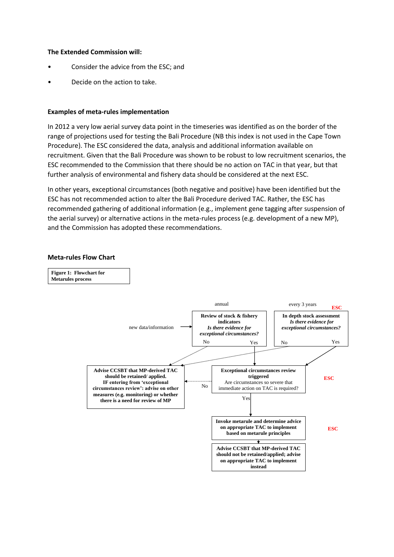# **The Extended Commission will:**

- Consider the advice from the ESC; and
- Decide on the action to take.

#### **Examples of meta-rules implementation**

In 2012 a very low aerial survey data point in the timeseries was identified as on the border of the range of projections used for testing the Bali Procedure (NB this index is not used in the Cape Town Procedure). The ESC considered the data, analysis and additional information available on recruitment. Given that the Bali Procedure was shown to be robust to low recruitment scenarios, the ESC recommended to the Commission that there should be no action on TAC in that year, but that further analysis of environmental and fishery data should be considered at the next ESC.

In other years, exceptional circumstances (both negative and positive) have been identified but the ESC has not recommended action to alter the Bali Procedure derived TAC. Rather, the ESC has recommended gathering of additional information (e.g., implement gene tagging after suspension of the aerial survey) or alternative actions in the meta-rules process (e.g. development of a new MP), and the Commission has adopted these recommendations.

#### **Meta-rules Flow Chart**

**Figure 1: Flowchart for Metarules process**